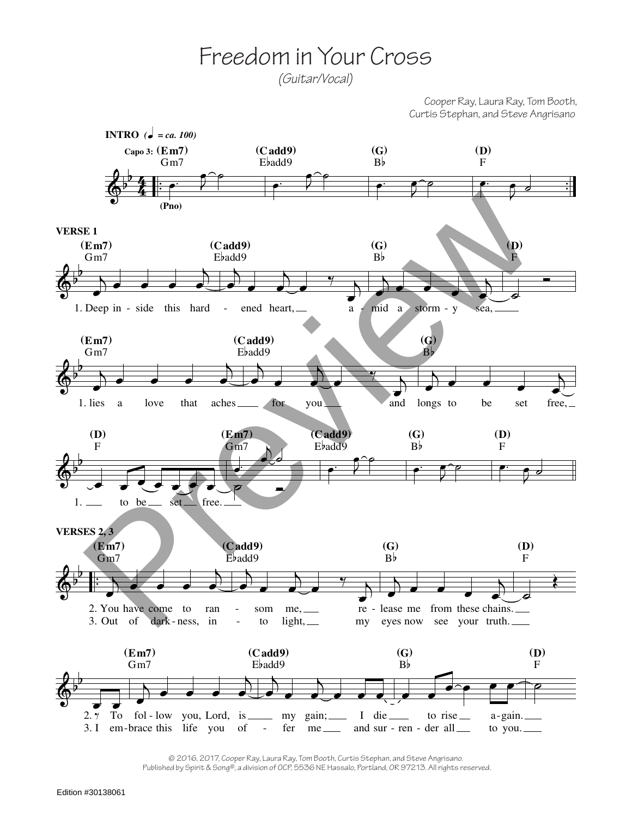## Freedom in Your Cross

*(Guitar/Vocal)*

Cooper Ray, Laura Ray, Tom Booth, Curtis Stephan, and Steve Angrisano



© 2016, 2017, Cooper Ray, Laura Ray, Tom Booth, Curtis Stephan, and Steve Angrisano. Published by Spirit & Song®, a division of OCP, 5536 NE Hassalo, Portland, OR 97213. All rights reserved.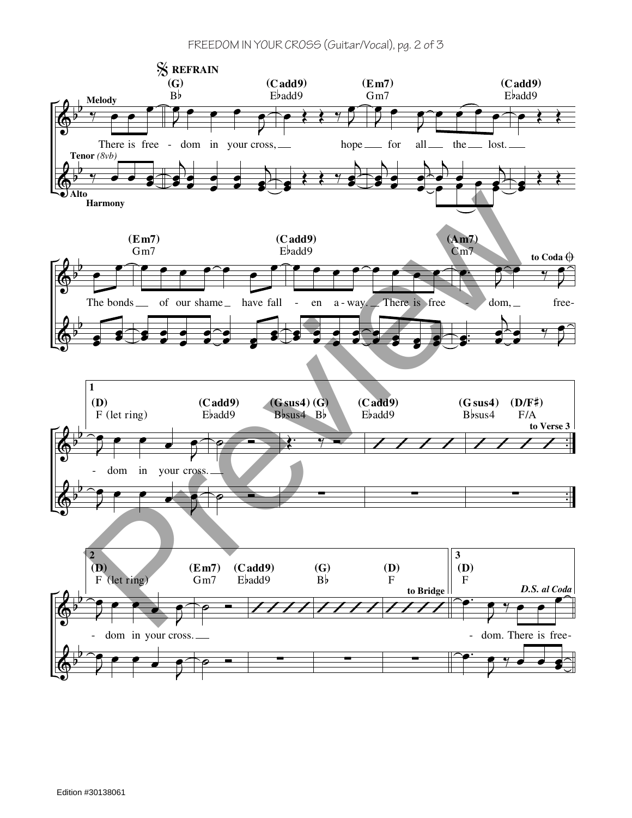